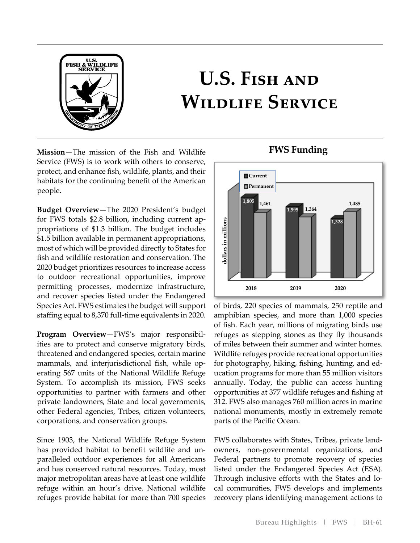

# **U.S. Fish and Wildlife Service**

**Mission**—The mission of the Fish and Wildlife Service (FWS) is to work with others to conserve, protect, and enhance fish, wildlife, plants, and their habitats for the continuing benefit of the American people.

for FWS totals \$2.8 billion, including current ap-**Budget Overview**—The 2020 President's budget propriations of \$1.3 billion. The budget includes \$1.5 billion available in permanent appropriations, most of which will be provided directly to States for fish and wildlife restoration and conservation. The 2020 budget prioritizes resources to increase access to outdoor recreational opportunities, improve permitting processes, modernize infrastructure, and recover species listed under the Endangered Species Act. FWS estimates the budget will support staffing equal to 8,370 full-time equivalents in 2020.

- **Program Overview**—FWS's major responsibil - mammals, and interjurisdictional fish, while op ities are to protect and conserve migratory birds, threatened and endangered species, certain marine erating 567 units of the National Wildlife Refuge System. To accomplish its mission, FWS seeks opportunities to partner with farmers and other private landowners, State and local governments, other Federal agencies, Tribes, citizen volunteers, corporations, and conservation groups.

- has provided habitat to benefit wildlife and un Since 1903, the National Wildlife Refuge System paralleled outdoor experiences for all Americans and has conserved natural resources. Today, most major metropolitan areas have at least one wildlife refuge within an hour's drive. National wildlife refuges provide habitat for more than 700 species



- for photography, hiking, fishing, hunting, and ed of birds, 220 species of mammals, 250 reptile and amphibian species, and more than 1,000 species of fish. Each year, millions of migrating birds use refuges as stepping stones as they fly thousands of miles between their summer and winter homes. Wildlife refuges provide recreational opportunities ucation programs for more than 55 million visitors annually. Today, the public can access hunting opportunities at 377 wildlife refuges and fishing at 312. FWS also manages 760 million acres in marine national monuments, mostly in extremely remote parts of the Pacific Ocean.

- FWS collaborates with States, Tribes, private land - Through inclusive efforts with the States and lo owners, non-governmental organizations, and Federal partners to promote recovery of species listed under the Endangered Species Act (ESA). cal communities, FWS develops and implements recovery plans identifying management actions to

# **FWS Funding**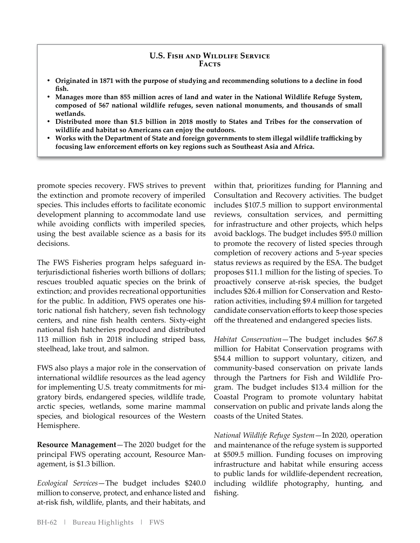#### **U.S. Fish and Wildlife Service Facts**

- **Originated in 1871 with the purpose of studying and recommending solutions to a decline in food fish.**
- **Manages more than 855 million acres of land and water in the National Wildlife Refuge System, composed of 567 national wildlife refuges, seven national monuments, and thousands of small wetlands.**
- **Distributed more than \$1.5 billion in 2018 mostly to States and Tribes for the conservation of wildlife and habitat so Americans can enjoy the outdoors.**
- **Works with the Department of State and foreign governments to stem illegal wildlife trafficking by focusing law enforcement efforts on key regions such as Southeast Asia and Africa.**

promote species recovery. FWS strives to prevent the extinction and promote recovery of imperiled species. This includes efforts to facilitate economic development planning to accommodate land use while avoiding conflicts with imperiled species, using the best available science as a basis for its decisions.

The FWS Fisheries program helps safeguard interjurisdictional fisheries worth billions of dollars; rescues troubled aquatic species on the brink of extinction; and provides recreational opportunities for the public. In addition, FWS operates one historic national fish hatchery, seven fish technology centers, and nine fish health centers. Sixty-eight national fish hatcheries produced and distributed 113 million fish in 2018 including striped bass, steelhead, lake trout, and salmon.

FWS also plays a major role in the conservation of international wildlife resources as the lead agency for implementing U.S. treaty commitments for migratory birds, endangered species, wildlife trade, arctic species, wetlands, some marine mammal species, and biological resources of the Western Hemisphere.

**Resource Management**—The 2020 budget for the principal FWS operating account, Resource Management, is \$1.3 billion.

*Ecological Services*—The budget includes \$240.0 million to conserve, protect, and enhance listed and at-risk fish, wildlife, plants, and their habitats, and within that, prioritizes funding for Planning and Consultation and Recovery activities. The budget includes \$107.5 million to support environmental reviews, consultation services, and permitting for infrastructure and other projects, which helps avoid backlogs. The budget includes \$95.0 million to promote the recovery of listed species through completion of recovery actions and 5-year species status reviews as required by the ESA. The budget proposes \$11.1 million for the listing of species. To proactively conserve at-risk species, the budget includes \$26.4 million for Conservation and Restoration activities, including \$9.4 million for targeted candidate conservation efforts to keep those species off the threatened and endangered species lists.

*Habitat Conservation*—The budget includes \$67.8 million for Habitat Conservation programs with \$54.4 million to support voluntary, citizen, and community-based conservation on private lands through the Partners for Fish and Wildlife Program. The budget includes \$13.4 million for the Coastal Program to promote voluntary habitat conservation on public and private lands along the coasts of the United States.

*National Wildlife Refuge System*—In 2020, operation and maintenance of the refuge system is supported at \$509.5 million. Funding focuses on improving infrastructure and habitat while ensuring access to public lands for wildlife-dependent recreation, including wildlife photography, hunting, and fishing.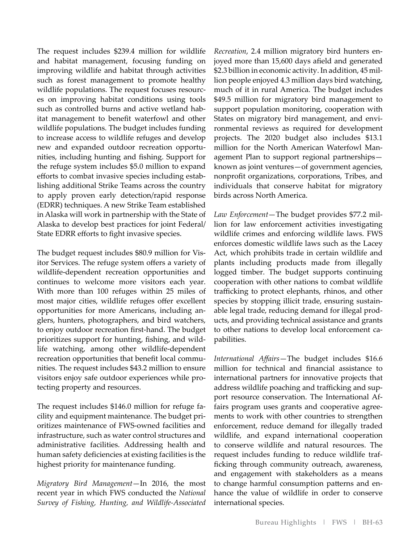The request includes \$239.4 million for wildlife and habitat management, focusing funding on improving wildlife and habitat through activities such as forest management to promote healthy wildlife populations. The request focuses resources on improving habitat conditions using tools such as controlled burns and active wetland habitat management to benefit waterfowl and other wildlife populations. The budget includes funding to increase access to wildlife refuges and develop new and expanded outdoor recreation opportunities, including hunting and fishing. Support for the refuge system includes \$5.0 million to expand efforts to combat invasive species including establishing additional Strike Teams across the country to apply proven early detection/rapid response (EDRR) techniques. A new Strike Team established in Alaska will work in partnership with the State of Alaska to develop best practices for joint Federal/ State EDRR efforts to fight invasive species.

The budget request includes \$80.9 million for Visitor Services. The refuge system offers a variety of wildlife-dependent recreation opportunities and continues to welcome more visitors each year. With more than 100 refuges within 25 miles of most major cities, wildlife refuges offer excellent opportunities for more Americans, including anglers, hunters, photographers, and bird watchers, to enjoy outdoor recreation first-hand. The budget prioritizes support for hunting, fishing, and wildlife watching, among other wildlife-dependent recreation opportunities that benefit local communities. The request includes \$43.2 million to ensure visitors enjoy safe outdoor experiences while protecting property and resources.

The request includes \$146.0 million for refuge facility and equipment maintenance. The budget prioritizes maintenance of FWS-owned facilities and infrastructure, such as water control structures and administrative facilities. Addressing health and human safety deficiencies at existing facilities is the highest priority for maintenance funding.

*Migratory Bird Management*—In 2016, the most recent year in which FWS conducted the *National Survey of Fishing, Hunting, and Wildlife-Associated* 

*Recreation*, 2.4 million migratory bird hunters enjoyed more than 15,600 days afield and generated \$2.3 billion in economic activity. In addition, 45 million people enjoyed 4.3 million days bird watching, much of it in rural America. The budget includes \$49.5 million for migratory bird management to support population monitoring, cooperation with States on migratory bird management, and environmental reviews as required for development projects. The 2020 budget also includes \$13.1 million for the North American Waterfowl Management Plan to support regional partnerships known as joint ventures—of government agencies, nonprofit organizations, corporations, Tribes, and individuals that conserve habitat for migratory birds across North America.

*Law Enforcement*—The budget provides \$77.2 million for law enforcement activities investigating wildlife crimes and enforcing wildlife laws. FWS enforces domestic wildlife laws such as the Lacey Act, which prohibits trade in certain wildlife and plants including products made from illegally logged timber. The budget supports continuing cooperation with other nations to combat wildlife trafficking to protect elephants, rhinos, and other species by stopping illicit trade, ensuring sustainable legal trade, reducing demand for illegal products, and providing technical assistance and grants to other nations to develop local enforcement capabilities.

*International Affairs*—The budget includes \$16.6 million for technical and financial assistance to international partners for innovative projects that address wildlife poaching and trafficking and support resource conservation. The International Affairs program uses grants and cooperative agreements to work with other countries to strengthen enforcement, reduce demand for illegally traded wildlife, and expand international cooperation to conserve wildlife and natural resources. The request includes funding to reduce wildlife trafficking through community outreach, awareness, and engagement with stakeholders as a means to change harmful consumption patterns and enhance the value of wildlife in order to conserve international species.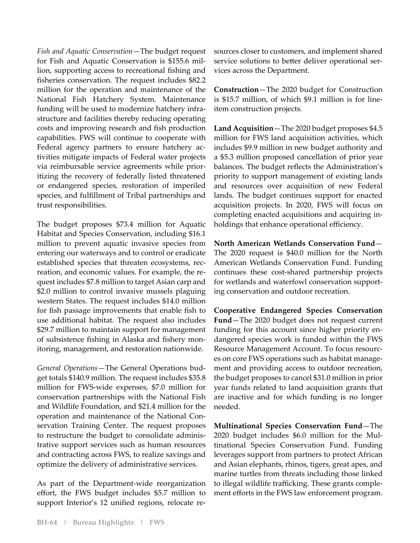*Fish and Aquatic Conservation*—The budget request for Fish and Aquatic Conservation is \$155.6 million, supporting access to recreational fishing and fisheries conservation. The request includes \$82.2 million for the operation and maintenance of the National Fish Hatchery System. Maintenance funding will be used to modernize hatchery infrastructure and facilities thereby reducing operating costs and improving research and fish production capabilities. FWS will continue to cooperate with Federal agency partners to ensure hatchery activities mitigate impacts of Federal water projects via reimbursable service agreements while prioritizing the recovery of federally listed threatened or endangered species, restoration of imperiled species, and fulfillment of Tribal partnerships and trust responsibilities.

The budget proposes \$73.4 million for Aquatic Habitat and Species Conservation, including \$16.1 million to prevent aquatic invasive species from entering our waterways and to control or eradicate established species that threaten ecosystems, recreation, and economic values. For example, the request includes \$7.8 million to target Asian carp and \$2.0 million to control invasive mussels plaguing western States. The request includes \$14.0 million for fish passage improvements that enable fish to use additional habitat. The request also includes \$29.7 million to maintain support for management of subsistence fishing in Alaska and fishery monitoring, management, and restoration nationwide.

*General Operations*—The General Operations budget totals \$140.9 million. The request includes \$35.8 million for FWS-wide expenses, \$7.0 million for conservation partnerships with the National Fish and Wildlife Foundation, and \$21.4 million for the operation and maintenance of the National Conservation Training Center. The request proposes to restructure the budget to consolidate administrative support services such as human resources and contracting across FWS, to realize savings and optimize the delivery of administrative services.

As part of the Department-wide reorganization effort, the FWS budget includes \$5.7 million to support Interior's 12 unified regions, relocate resources closer to customers, and implement shared service solutions to better deliver operational services across the Department.

**Construction**—The 2020 budget for Construction is \$15.7 million, of which \$9.1 million is for lineitem construction projects.

**Land Acquisition**—The 2020 budget proposes \$4.5 million for FWS land acquisition activities, which includes \$9.9 million in new budget authority and a \$5.3 million proposed cancellation of prior year balances. The budget reflects the Administration's priority to support management of existing lands and resources over acquisition of new Federal lands. The budget continues support for enacted acquisition projects. In 2020, FWS will focus on completing enacted acquisitions and acquiring inholdings that enhance operational efficiency.

**North American Wetlands Conservation Fund**— The 2020 request is \$40.0 million for the North American Wetlands Conservation Fund. Funding continues these cost-shared partnership projects for wetlands and waterfowl conservation supporting conservation and outdoor recreation.

**Cooperative Endangered Species Conservation Fund**—The 2020 budget does not request current funding for this account since higher priority endangered species work is funded within the FWS Resource Management Account. To focus resources on core FWS operations such as habitat management and providing access to outdoor recreation, the budget proposes to cancel \$31.0 million in prior year funds related to land acquisition grants that are inactive and for which funding is no longer needed.

**Multinational Species Conservation Fund**—The 2020 budget includes \$6.0 million for the Multinational Species Conservation Fund. Funding leverages support from partners to protect African and Asian elephants, rhinos, tigers, great apes, and marine turtles from threats including those linked to illegal wildlife trafficking. These grants complement efforts in the FWS law enforcement program.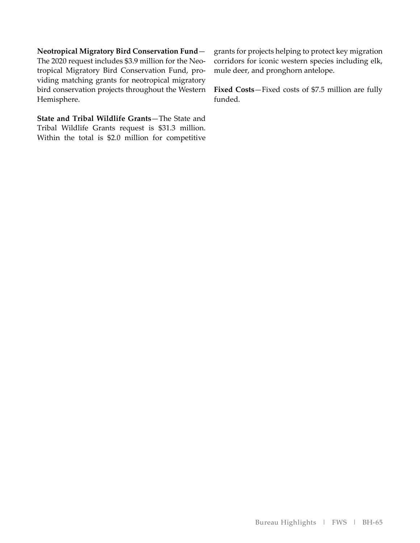**Neotropical Migratory Bird Conservation Fund**— The 2020 request includes \$3.9 million for the Neotropical Migratory Bird Conservation Fund, providing matching grants for neotropical migratory bird conservation projects throughout the Western Hemisphere.

**State and Tribal Wildlife Grants**—The State and Tribal Wildlife Grants request is \$31.3 million. Within the total is \$2.0 million for competitive grants for projects helping to protect key migration corridors for iconic western species including elk, mule deer, and pronghorn antelope.

**Fixed Costs**—Fixed costs of \$7.5 million are fully funded.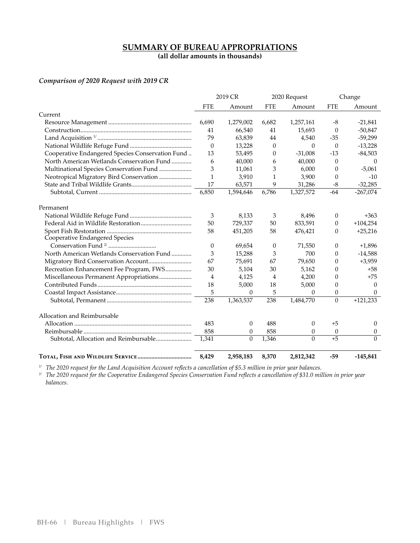# **SUMMARY OF BUREAU APPROPRIATIONS**

**(all dollar amounts in thousands)** 

#### *Comparison of 2020 Request with 2019 CR*

|                                                  |            | 2019 CR   |              | 2020 Request |                  | Change           |
|--------------------------------------------------|------------|-----------|--------------|--------------|------------------|------------------|
|                                                  | <b>FTE</b> | Amount    | <b>FTE</b>   | Amount       | <b>FTE</b>       | Amount           |
| Current                                          |            |           |              |              |                  |                  |
|                                                  | 6,690      | 1,279,002 | 6,682        | 1,257,161    | -8               | $-21,841$        |
|                                                  | 41         | 66,540    | 41           | 15,693       | $\theta$         | $-50,847$        |
|                                                  | 79         | 63,839    | 44           | 4,540        | $-35$            | $-59,299$        |
|                                                  | $\theta$   | 13,228    | $\mathbf{0}$ | $\Omega$     | $\theta$         | $-13,228$        |
| Cooperative Endangered Species Conservation Fund | 13         | 53,495    | 0            | $-31,008$    | $-13$            | $-84,503$        |
| North American Wetlands Conservation Fund        | 6          | 40,000    | 6            | 40,000       | $\Omega$         | $\Omega$         |
| Multinational Species Conservation Fund          | 3          | 11,061    | 3            | 6,000        | 0                | $-5,061$         |
| Neotropical Migratory Bird Conservation          | 1          | 3,910     | 1            | 3,900        | $\Omega$         | $-10$            |
|                                                  | 17         | 63,571    | 9            | 31,286       | $-8$             | $-32,285$        |
|                                                  | 6,850      | 1,594,646 | 6,786        | 1,327,572    | $-64$            | $-267,074$       |
| Permanent                                        |            |           |              |              |                  |                  |
|                                                  | 3          | 8,133     | 3            | 8,496        | $\theta$         | $+363$           |
|                                                  | 50         | 729,337   | 50           | 833,591      | $\theta$         | $+104,254$       |
|                                                  | 58         | 451,205   | 58           | 476,421      | 0                | $+25,216$        |
| Cooperative Endangered Species                   |            |           |              |              |                  |                  |
|                                                  | $\theta$   | 69,654    | $\theta$     | 71,550       | $\theta$         | $+1,896$         |
| North American Wetlands Conservation Fund        | 3          | 15,288    | 3            | 700          | 0                | $-14,588$        |
|                                                  | 67         | 75,691    | 67           | 79,650       | 0                | $+3,959$         |
| Recreation Enhancement Fee Program, FWS          | 30         | 5,104     | 30           | 5,162        | 0                | $+58$            |
| Miscellaneous Permanent Appropriations           | 4          | 4,125     | 4            | 4,200        | 0                | $+75$            |
|                                                  | 18         | 5,000     | 18           | 5,000        | $\overline{0}$   | $\theta$         |
|                                                  | 5          | $\theta$  | 5            | 0            | 0                | $\Omega$         |
|                                                  | 238        | 1,363,537 | 238          | 1,484,770    | $\theta$         | $+121,233$       |
| Allocation and Reimbursable                      |            |           |              |              |                  |                  |
|                                                  | 483        | $\theta$  | 488          | 0            | $+5$             | $\theta$         |
|                                                  | 858        | $\theta$  | 858          | 0            | $\boldsymbol{0}$ | $\boldsymbol{0}$ |
| Subtotal, Allocation and Reimbursable            | 1,341      | $\theta$  | 1,346        | $\Omega$     | $+5$             | $\Omega$         |
|                                                  | 8,429      | 2,958,183 | 8,370        | 2,812,342    | $-59$            | $-145,841$       |

*1/ The 2020 request for the Land Acquisition Account reflects a cancellation of \$5.3 million in prior year balances.*

*2/ The 2020 request for the Cooperative Endangered Species Conservation Fund reflects a cancellation of \$31.0 million in prior year balances.*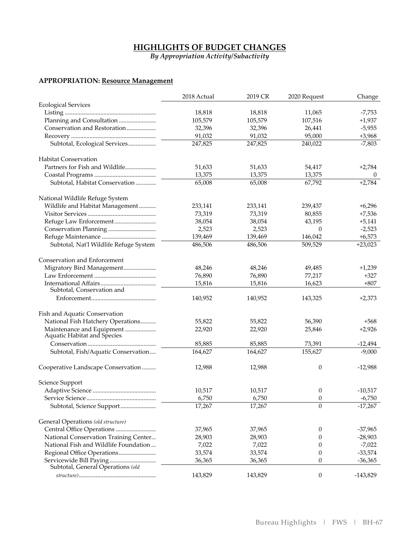#### **HIGHLIGHTS OF BUDGET CHANGES**

*By Appropriation Activity/Subactivity*

#### **APPROPRIATION: Resource Management**

| <b>Ecological Services</b><br>18,818<br>18,818<br>$-7,753$<br>11,065<br>Planning and Consultation<br>105,579<br>105,579<br>107,516<br>$+1,937$<br>Conservation and Restoration<br>32,396<br>32,396<br>26,441<br>$-5,955$<br>91,032<br>95,000<br>91,032<br>$+3,968$<br>Subtotal, Ecological Services<br>247,825<br>247,825<br>240,022<br>$-7,803$<br><b>Habitat Conservation</b><br>Partners for Fish and Wildlife<br>51,633<br>51,633<br>54,417<br>$+2,784$<br>13,375<br>13,375<br>13,375<br>$\theta$<br>65,008<br>65,008<br>67,792<br>$+2,784$<br>Subtotal, Habitat Conservation<br>National Wildlife Refuge System<br>Wildlife and Habitat Management<br>233,141<br>$+6,296$<br>233,141<br>239,437<br>73,319<br>73,319<br>80,855<br>$+7,536$<br>38,054<br>38,054<br>43,195<br>$+5,141$<br>2,523<br>2,523<br>$\theta$<br>$-2,523$<br>139,469<br>139,469<br>146,042<br>$+6,573$<br>509,529<br>$+23,023$<br>Subtotal, Nat'l Wildlife Refuge System<br>486,506<br>486,506<br>Conservation and Enforcement<br>Migratory Bird Management<br>48,246<br>48,246<br>49,485<br>$+1,239$<br>76,890<br>76,890<br>77,217<br>+327<br>15,816<br>15,816<br>16,623<br>$+807$<br>Subtotal, Conservation and<br>140,952<br>140,952<br>143,325<br>$+2,373$<br>Fish and Aquatic Conservation<br>National Fish Hatchery Operations<br>55,822<br>55,822<br>56,390<br>$+568$<br>Maintenance and Equipment<br>22,920<br>$+2,926$<br>22,920<br>25,846<br>Aquatic Habitat and Species<br>85,885<br>85,885<br>73,391<br>$-12,494$<br>Subtotal, Fish/Aquatic Conservation<br>164,627<br>164,627<br>155,627<br>$-9,000$<br>Cooperative Landscape Conservation<br>12,988<br>12,988<br>0<br>$-12,988$<br>Science Support<br>10,517<br>$-10,517$<br>10,517<br>0<br>6,750<br>6,750<br>$-6,750$<br>0<br>Subtotal, Science Support<br>17,267<br>17,267<br>$\Omega$<br>$-17,267$<br>General Operations (old structure)<br>Central Office Operations<br>37,965<br>37,965<br>$-37,965$<br>0<br>National Conservation Training Center<br>28,903<br>$-28,903$<br>28,903<br>0<br>National Fish and Wildlife Foundation<br>7,022<br>$-7,022$<br>7,022<br>0<br>33,574<br>33,574<br>$-33,574$<br>0<br>Servicewide Bill Paying<br>36,365<br>36,365<br>0<br>$-36,365$<br>Subtotal, General Operations (old<br>143,829<br>$\boldsymbol{0}$<br>143,829<br>$-143,829$ | 2018 Actual | 2019 CR | 2020 Request | Change |
|----------------------------------------------------------------------------------------------------------------------------------------------------------------------------------------------------------------------------------------------------------------------------------------------------------------------------------------------------------------------------------------------------------------------------------------------------------------------------------------------------------------------------------------------------------------------------------------------------------------------------------------------------------------------------------------------------------------------------------------------------------------------------------------------------------------------------------------------------------------------------------------------------------------------------------------------------------------------------------------------------------------------------------------------------------------------------------------------------------------------------------------------------------------------------------------------------------------------------------------------------------------------------------------------------------------------------------------------------------------------------------------------------------------------------------------------------------------------------------------------------------------------------------------------------------------------------------------------------------------------------------------------------------------------------------------------------------------------------------------------------------------------------------------------------------------------------------------------------------------------------------------------------------------------------------------------------------------------------------------------------------------------------------------------------------------------------------------------------------------------------------------------------------------------------------------------------------------------------------------------------------------------------------------------------------------------|-------------|---------|--------------|--------|
|                                                                                                                                                                                                                                                                                                                                                                                                                                                                                                                                                                                                                                                                                                                                                                                                                                                                                                                                                                                                                                                                                                                                                                                                                                                                                                                                                                                                                                                                                                                                                                                                                                                                                                                                                                                                                                                                                                                                                                                                                                                                                                                                                                                                                                                                                                                      |             |         |              |        |
|                                                                                                                                                                                                                                                                                                                                                                                                                                                                                                                                                                                                                                                                                                                                                                                                                                                                                                                                                                                                                                                                                                                                                                                                                                                                                                                                                                                                                                                                                                                                                                                                                                                                                                                                                                                                                                                                                                                                                                                                                                                                                                                                                                                                                                                                                                                      |             |         |              |        |
|                                                                                                                                                                                                                                                                                                                                                                                                                                                                                                                                                                                                                                                                                                                                                                                                                                                                                                                                                                                                                                                                                                                                                                                                                                                                                                                                                                                                                                                                                                                                                                                                                                                                                                                                                                                                                                                                                                                                                                                                                                                                                                                                                                                                                                                                                                                      |             |         |              |        |
|                                                                                                                                                                                                                                                                                                                                                                                                                                                                                                                                                                                                                                                                                                                                                                                                                                                                                                                                                                                                                                                                                                                                                                                                                                                                                                                                                                                                                                                                                                                                                                                                                                                                                                                                                                                                                                                                                                                                                                                                                                                                                                                                                                                                                                                                                                                      |             |         |              |        |
|                                                                                                                                                                                                                                                                                                                                                                                                                                                                                                                                                                                                                                                                                                                                                                                                                                                                                                                                                                                                                                                                                                                                                                                                                                                                                                                                                                                                                                                                                                                                                                                                                                                                                                                                                                                                                                                                                                                                                                                                                                                                                                                                                                                                                                                                                                                      |             |         |              |        |
|                                                                                                                                                                                                                                                                                                                                                                                                                                                                                                                                                                                                                                                                                                                                                                                                                                                                                                                                                                                                                                                                                                                                                                                                                                                                                                                                                                                                                                                                                                                                                                                                                                                                                                                                                                                                                                                                                                                                                                                                                                                                                                                                                                                                                                                                                                                      |             |         |              |        |
|                                                                                                                                                                                                                                                                                                                                                                                                                                                                                                                                                                                                                                                                                                                                                                                                                                                                                                                                                                                                                                                                                                                                                                                                                                                                                                                                                                                                                                                                                                                                                                                                                                                                                                                                                                                                                                                                                                                                                                                                                                                                                                                                                                                                                                                                                                                      |             |         |              |        |
|                                                                                                                                                                                                                                                                                                                                                                                                                                                                                                                                                                                                                                                                                                                                                                                                                                                                                                                                                                                                                                                                                                                                                                                                                                                                                                                                                                                                                                                                                                                                                                                                                                                                                                                                                                                                                                                                                                                                                                                                                                                                                                                                                                                                                                                                                                                      |             |         |              |        |
|                                                                                                                                                                                                                                                                                                                                                                                                                                                                                                                                                                                                                                                                                                                                                                                                                                                                                                                                                                                                                                                                                                                                                                                                                                                                                                                                                                                                                                                                                                                                                                                                                                                                                                                                                                                                                                                                                                                                                                                                                                                                                                                                                                                                                                                                                                                      |             |         |              |        |
|                                                                                                                                                                                                                                                                                                                                                                                                                                                                                                                                                                                                                                                                                                                                                                                                                                                                                                                                                                                                                                                                                                                                                                                                                                                                                                                                                                                                                                                                                                                                                                                                                                                                                                                                                                                                                                                                                                                                                                                                                                                                                                                                                                                                                                                                                                                      |             |         |              |        |
|                                                                                                                                                                                                                                                                                                                                                                                                                                                                                                                                                                                                                                                                                                                                                                                                                                                                                                                                                                                                                                                                                                                                                                                                                                                                                                                                                                                                                                                                                                                                                                                                                                                                                                                                                                                                                                                                                                                                                                                                                                                                                                                                                                                                                                                                                                                      |             |         |              |        |
|                                                                                                                                                                                                                                                                                                                                                                                                                                                                                                                                                                                                                                                                                                                                                                                                                                                                                                                                                                                                                                                                                                                                                                                                                                                                                                                                                                                                                                                                                                                                                                                                                                                                                                                                                                                                                                                                                                                                                                                                                                                                                                                                                                                                                                                                                                                      |             |         |              |        |
|                                                                                                                                                                                                                                                                                                                                                                                                                                                                                                                                                                                                                                                                                                                                                                                                                                                                                                                                                                                                                                                                                                                                                                                                                                                                                                                                                                                                                                                                                                                                                                                                                                                                                                                                                                                                                                                                                                                                                                                                                                                                                                                                                                                                                                                                                                                      |             |         |              |        |
|                                                                                                                                                                                                                                                                                                                                                                                                                                                                                                                                                                                                                                                                                                                                                                                                                                                                                                                                                                                                                                                                                                                                                                                                                                                                                                                                                                                                                                                                                                                                                                                                                                                                                                                                                                                                                                                                                                                                                                                                                                                                                                                                                                                                                                                                                                                      |             |         |              |        |
|                                                                                                                                                                                                                                                                                                                                                                                                                                                                                                                                                                                                                                                                                                                                                                                                                                                                                                                                                                                                                                                                                                                                                                                                                                                                                                                                                                                                                                                                                                                                                                                                                                                                                                                                                                                                                                                                                                                                                                                                                                                                                                                                                                                                                                                                                                                      |             |         |              |        |
|                                                                                                                                                                                                                                                                                                                                                                                                                                                                                                                                                                                                                                                                                                                                                                                                                                                                                                                                                                                                                                                                                                                                                                                                                                                                                                                                                                                                                                                                                                                                                                                                                                                                                                                                                                                                                                                                                                                                                                                                                                                                                                                                                                                                                                                                                                                      |             |         |              |        |
|                                                                                                                                                                                                                                                                                                                                                                                                                                                                                                                                                                                                                                                                                                                                                                                                                                                                                                                                                                                                                                                                                                                                                                                                                                                                                                                                                                                                                                                                                                                                                                                                                                                                                                                                                                                                                                                                                                                                                                                                                                                                                                                                                                                                                                                                                                                      |             |         |              |        |
|                                                                                                                                                                                                                                                                                                                                                                                                                                                                                                                                                                                                                                                                                                                                                                                                                                                                                                                                                                                                                                                                                                                                                                                                                                                                                                                                                                                                                                                                                                                                                                                                                                                                                                                                                                                                                                                                                                                                                                                                                                                                                                                                                                                                                                                                                                                      |             |         |              |        |
|                                                                                                                                                                                                                                                                                                                                                                                                                                                                                                                                                                                                                                                                                                                                                                                                                                                                                                                                                                                                                                                                                                                                                                                                                                                                                                                                                                                                                                                                                                                                                                                                                                                                                                                                                                                                                                                                                                                                                                                                                                                                                                                                                                                                                                                                                                                      |             |         |              |        |
|                                                                                                                                                                                                                                                                                                                                                                                                                                                                                                                                                                                                                                                                                                                                                                                                                                                                                                                                                                                                                                                                                                                                                                                                                                                                                                                                                                                                                                                                                                                                                                                                                                                                                                                                                                                                                                                                                                                                                                                                                                                                                                                                                                                                                                                                                                                      |             |         |              |        |
|                                                                                                                                                                                                                                                                                                                                                                                                                                                                                                                                                                                                                                                                                                                                                                                                                                                                                                                                                                                                                                                                                                                                                                                                                                                                                                                                                                                                                                                                                                                                                                                                                                                                                                                                                                                                                                                                                                                                                                                                                                                                                                                                                                                                                                                                                                                      |             |         |              |        |
|                                                                                                                                                                                                                                                                                                                                                                                                                                                                                                                                                                                                                                                                                                                                                                                                                                                                                                                                                                                                                                                                                                                                                                                                                                                                                                                                                                                                                                                                                                                                                                                                                                                                                                                                                                                                                                                                                                                                                                                                                                                                                                                                                                                                                                                                                                                      |             |         |              |        |
|                                                                                                                                                                                                                                                                                                                                                                                                                                                                                                                                                                                                                                                                                                                                                                                                                                                                                                                                                                                                                                                                                                                                                                                                                                                                                                                                                                                                                                                                                                                                                                                                                                                                                                                                                                                                                                                                                                                                                                                                                                                                                                                                                                                                                                                                                                                      |             |         |              |        |
|                                                                                                                                                                                                                                                                                                                                                                                                                                                                                                                                                                                                                                                                                                                                                                                                                                                                                                                                                                                                                                                                                                                                                                                                                                                                                                                                                                                                                                                                                                                                                                                                                                                                                                                                                                                                                                                                                                                                                                                                                                                                                                                                                                                                                                                                                                                      |             |         |              |        |
|                                                                                                                                                                                                                                                                                                                                                                                                                                                                                                                                                                                                                                                                                                                                                                                                                                                                                                                                                                                                                                                                                                                                                                                                                                                                                                                                                                                                                                                                                                                                                                                                                                                                                                                                                                                                                                                                                                                                                                                                                                                                                                                                                                                                                                                                                                                      |             |         |              |        |
|                                                                                                                                                                                                                                                                                                                                                                                                                                                                                                                                                                                                                                                                                                                                                                                                                                                                                                                                                                                                                                                                                                                                                                                                                                                                                                                                                                                                                                                                                                                                                                                                                                                                                                                                                                                                                                                                                                                                                                                                                                                                                                                                                                                                                                                                                                                      |             |         |              |        |
|                                                                                                                                                                                                                                                                                                                                                                                                                                                                                                                                                                                                                                                                                                                                                                                                                                                                                                                                                                                                                                                                                                                                                                                                                                                                                                                                                                                                                                                                                                                                                                                                                                                                                                                                                                                                                                                                                                                                                                                                                                                                                                                                                                                                                                                                                                                      |             |         |              |        |
|                                                                                                                                                                                                                                                                                                                                                                                                                                                                                                                                                                                                                                                                                                                                                                                                                                                                                                                                                                                                                                                                                                                                                                                                                                                                                                                                                                                                                                                                                                                                                                                                                                                                                                                                                                                                                                                                                                                                                                                                                                                                                                                                                                                                                                                                                                                      |             |         |              |        |
|                                                                                                                                                                                                                                                                                                                                                                                                                                                                                                                                                                                                                                                                                                                                                                                                                                                                                                                                                                                                                                                                                                                                                                                                                                                                                                                                                                                                                                                                                                                                                                                                                                                                                                                                                                                                                                                                                                                                                                                                                                                                                                                                                                                                                                                                                                                      |             |         |              |        |
|                                                                                                                                                                                                                                                                                                                                                                                                                                                                                                                                                                                                                                                                                                                                                                                                                                                                                                                                                                                                                                                                                                                                                                                                                                                                                                                                                                                                                                                                                                                                                                                                                                                                                                                                                                                                                                                                                                                                                                                                                                                                                                                                                                                                                                                                                                                      |             |         |              |        |
|                                                                                                                                                                                                                                                                                                                                                                                                                                                                                                                                                                                                                                                                                                                                                                                                                                                                                                                                                                                                                                                                                                                                                                                                                                                                                                                                                                                                                                                                                                                                                                                                                                                                                                                                                                                                                                                                                                                                                                                                                                                                                                                                                                                                                                                                                                                      |             |         |              |        |
|                                                                                                                                                                                                                                                                                                                                                                                                                                                                                                                                                                                                                                                                                                                                                                                                                                                                                                                                                                                                                                                                                                                                                                                                                                                                                                                                                                                                                                                                                                                                                                                                                                                                                                                                                                                                                                                                                                                                                                                                                                                                                                                                                                                                                                                                                                                      |             |         |              |        |
|                                                                                                                                                                                                                                                                                                                                                                                                                                                                                                                                                                                                                                                                                                                                                                                                                                                                                                                                                                                                                                                                                                                                                                                                                                                                                                                                                                                                                                                                                                                                                                                                                                                                                                                                                                                                                                                                                                                                                                                                                                                                                                                                                                                                                                                                                                                      |             |         |              |        |
|                                                                                                                                                                                                                                                                                                                                                                                                                                                                                                                                                                                                                                                                                                                                                                                                                                                                                                                                                                                                                                                                                                                                                                                                                                                                                                                                                                                                                                                                                                                                                                                                                                                                                                                                                                                                                                                                                                                                                                                                                                                                                                                                                                                                                                                                                                                      |             |         |              |        |
|                                                                                                                                                                                                                                                                                                                                                                                                                                                                                                                                                                                                                                                                                                                                                                                                                                                                                                                                                                                                                                                                                                                                                                                                                                                                                                                                                                                                                                                                                                                                                                                                                                                                                                                                                                                                                                                                                                                                                                                                                                                                                                                                                                                                                                                                                                                      |             |         |              |        |
|                                                                                                                                                                                                                                                                                                                                                                                                                                                                                                                                                                                                                                                                                                                                                                                                                                                                                                                                                                                                                                                                                                                                                                                                                                                                                                                                                                                                                                                                                                                                                                                                                                                                                                                                                                                                                                                                                                                                                                                                                                                                                                                                                                                                                                                                                                                      |             |         |              |        |
|                                                                                                                                                                                                                                                                                                                                                                                                                                                                                                                                                                                                                                                                                                                                                                                                                                                                                                                                                                                                                                                                                                                                                                                                                                                                                                                                                                                                                                                                                                                                                                                                                                                                                                                                                                                                                                                                                                                                                                                                                                                                                                                                                                                                                                                                                                                      |             |         |              |        |
|                                                                                                                                                                                                                                                                                                                                                                                                                                                                                                                                                                                                                                                                                                                                                                                                                                                                                                                                                                                                                                                                                                                                                                                                                                                                                                                                                                                                                                                                                                                                                                                                                                                                                                                                                                                                                                                                                                                                                                                                                                                                                                                                                                                                                                                                                                                      |             |         |              |        |
|                                                                                                                                                                                                                                                                                                                                                                                                                                                                                                                                                                                                                                                                                                                                                                                                                                                                                                                                                                                                                                                                                                                                                                                                                                                                                                                                                                                                                                                                                                                                                                                                                                                                                                                                                                                                                                                                                                                                                                                                                                                                                                                                                                                                                                                                                                                      |             |         |              |        |
|                                                                                                                                                                                                                                                                                                                                                                                                                                                                                                                                                                                                                                                                                                                                                                                                                                                                                                                                                                                                                                                                                                                                                                                                                                                                                                                                                                                                                                                                                                                                                                                                                                                                                                                                                                                                                                                                                                                                                                                                                                                                                                                                                                                                                                                                                                                      |             |         |              |        |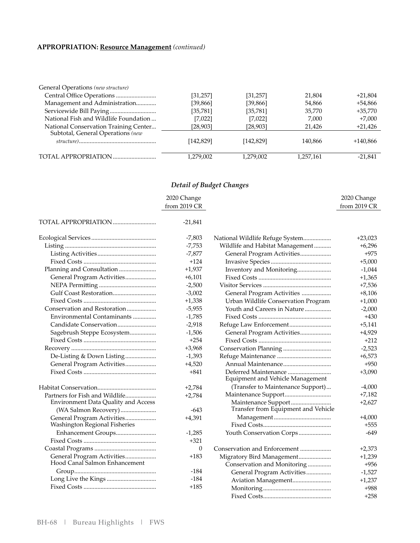#### **APPROPRIATION: Resource Management** *(continued)*

| General Operations (new structure)                                         |           |           |           |            |
|----------------------------------------------------------------------------|-----------|-----------|-----------|------------|
|                                                                            | [31, 257] | [31, 257] | 21,804    | $+21,804$  |
| Management and Administration                                              | [39,866]  | [39,866]  | 54,866    | +54,866    |
|                                                                            | [35,781]  | [35, 781] | 35.770    | $+35.770$  |
| National Fish and Wildlife Foundation                                      | [7,022]   | [7,022]   | 7,000     | $+7,000$   |
| National Conservation Training Center<br>Subtotal, General Operations (new | [28,903]  | [28,903]  | 21,426    | $+21,426$  |
|                                                                            | [142,829] | [142,829] | 140,866   | $+140,866$ |
|                                                                            | 1,279,002 | 1,279,002 | 1,257,161 | $-21,841$  |

#### *Detail of Budget Changes*

|                                            | 2020 Change  |                                                          | 2020 Change  |
|--------------------------------------------|--------------|----------------------------------------------------------|--------------|
|                                            | from 2019 CR |                                                          | from 2019 CR |
| TOTAL APPROPRIATION                        |              |                                                          |              |
|                                            | $-21,841$    |                                                          |              |
|                                            | $-7,803$     | National Wildlife Refuge System                          | $+23,023$    |
|                                            | $-7,753$     | Wildlife and Habitat Management                          | $+6,296$     |
|                                            | $-7,877$     | General Program Activities                               | $+975$       |
|                                            | $+124$       |                                                          | $+5,000$     |
| Planning and Consultation                  | $+1,937$     | Inventory and Monitoring                                 | $-1,044$     |
| General Program Activities                 | $+6,101$     |                                                          | $+1,365$     |
|                                            | $-2,500$     |                                                          | $+7,536$     |
|                                            | $-3,002$     | General Program Activities                               | $+8,106$     |
|                                            | $+1,338$     | Urban Wildlife Conservation Program                      | $+1,000$     |
| Conservation and Restoration               | $-5,955$     | Youth and Careers in Nature                              | $-2,000$     |
| Environmental Contaminants                 | $-1,785$     |                                                          | $+430$       |
|                                            | $-2,918$     |                                                          | $+5,141$     |
| Sagebrush Steppe Ecosystem                 | $-1,506$     | General Program Activities                               | $+4,929$     |
|                                            | $+254$       |                                                          | $+212$       |
|                                            | $+3,968$     |                                                          | $-2,523$     |
| De-Listing & Down Listing                  | $-1,393$     |                                                          | $+6,573$     |
| General Program Activities                 | $+4,520$     |                                                          | $+950$       |
|                                            | $+841$       | Deferred Maintenance<br>Equipment and Vehicle Management | $+3,090$     |
|                                            | $+2,784$     | (Transfer to Maintenance Support)                        | $-4,000$     |
| Partners for Fish and Wildlife             | $+2,784$     |                                                          | $+7,182$     |
| <b>Environment Data Quality and Access</b> |              | Maintenance Support                                      | $+2,627$     |
| (WA Salmon Recovery)                       | -643         | Transfer from Equipment and Vehicle                      |              |
| General Program Activities                 | $+4,391$     |                                                          | $+4,000$     |
| Washington Regional Fisheries              |              |                                                          | $+555$       |
| Enhancement Groups                         | $-1,285$     | Youth Conservation Corps                                 | $-649$       |
|                                            | $+321$       |                                                          |              |
|                                            | $\theta$     | Conservation and Enforcement                             | $+2,373$     |
| General Program Activities                 | $+183$       | Migratory Bird Management                                | $+1,239$     |
| Hood Canal Salmon Enhancement              |              | Conservation and Monitoring                              | $+956$       |
|                                            | $-184$       | General Program Activities                               | $-1,527$     |
|                                            | $-184$       | Aviation Management                                      | $+1,237$     |
|                                            | $+185$       |                                                          | $+988$       |

............................................ Fixed Costs +258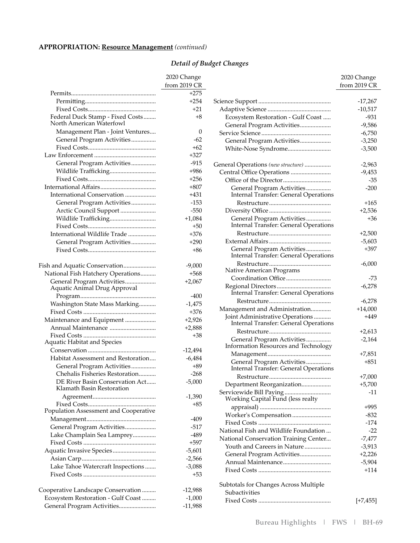### **APPROPRIATION: Resource Management** *(continued)*

|                                                              | 2020 Change  |
|--------------------------------------------------------------|--------------|
|                                                              | from 2019 CR |
|                                                              | $+275$       |
|                                                              | $+254$       |
|                                                              | $+21$        |
| Federal Duck Stamp - Fixed Costs<br>North American Waterfowl | $+8$         |
| Management Plan - Joint Ventures                             | 0            |
| General Program Activities                                   | $-62$        |
|                                                              | $+62$        |
|                                                              | $+327$       |
| General Program Activities                                   | $-915$       |
| Wildlife Trafficking                                         | $+986$       |
|                                                              | $+256$       |
|                                                              | $+807$       |
| International Conservation                                   | +431         |
| General Program Activities                                   | $-153$       |
| Arctic Council Support                                       | $-550$       |
| Wildlife Trafficking                                         | $+1,084$     |
|                                                              | $+50$        |
| International Wildlife Trade                                 | +376         |
| General Program Activities                                   | $+290$       |
|                                                              | $+86$        |
|                                                              |              |
| Fish and Aquatic Conservation                                | $-9,000$     |
| National Fish Hatchery Operations                            | $+568$       |
| General Program Activities<br>Aquatic Animal Drug Approval   | $+2,067$     |
|                                                              | -400         |
| Washington State Mass Marking                                | $-1,475$     |
|                                                              | $+376$       |
| Maintenance and Equipment                                    | $+2,926$     |
| Annual Maintenance                                           | $+2,888$     |
|                                                              | +38          |
| Aquatic Habitat and Species                                  |              |
|                                                              | -12,494      |
| Habitat Assessment and Restoration                           | -6,484       |
| General Program Activities                                   | $+89$        |
| Chehalis Fisheries Restoration                               | -268         |
| DE River Basin Conservation Act<br>Klamath Basin Restoration | $-5,000$     |
|                                                              | $-1,390$     |
| Population Assessment and Cooperative                        | $+85$        |
|                                                              | $-409$       |
| General Program Activities                                   | $-517$       |
| Lake Champlain Sea Lamprey                                   | $-489$       |
|                                                              | $+597$       |
| Aquatic Invasive Species                                     | $-5,601$     |
|                                                              | $-2,566$     |
| Lake Tahoe Watercraft Inspections                            | $-3,088$     |
|                                                              | +53          |
| Cooperative Landscape Conservation                           | $-12,988$    |
| Ecosystem Restoration - Gulf Coast                           | $-1,000$     |
| General Program Activities                                   | $-11,988$    |
|                                                              |              |

|                                                                          | 2020 Change  |
|--------------------------------------------------------------------------|--------------|
|                                                                          | from 2019 CR |
|                                                                          |              |
|                                                                          | $-17,267$    |
|                                                                          | $-10,517$    |
| Ecosystem Restoration - Gulf Coast                                       | $-931$       |
| General Program Activities                                               | $-9,586$     |
|                                                                          | $-6,750$     |
| General Program Activities                                               | $-3,250$     |
| White-Nose Syndrome                                                      | $-3,500$     |
| General Operations (new structure)                                       | $-2,963$     |
|                                                                          | $-9,453$     |
| Central Office Operations                                                | $-35$        |
| General Program Activities                                               | $-200$       |
| <b>Internal Transfer: General Operations</b>                             |              |
|                                                                          | $+165$       |
|                                                                          | $+2,536$     |
| General Program Activities                                               | +36          |
| <b>Internal Transfer: General Operations</b>                             |              |
|                                                                          | $+2,500$     |
|                                                                          | $-5,603$     |
| General Program Activities<br>Internal Transfer: General Operations      | $+397$       |
| Native American Programs                                                 | $-6,000$     |
|                                                                          | -73          |
|                                                                          | $-6,278$     |
|                                                                          | $-6,278$     |
| Management and Administration                                            | $+14,000$    |
| Joint Administrative Operations<br>Internal Transfer: General Operations | +449         |
|                                                                          | $+2,613$     |
| General Program Activities                                               | $-2,164$     |
| Information Resources and Technology                                     |              |
|                                                                          | $+7,851$     |
| General Program Activities                                               | $+851$       |
| Internal Transfer: General Operations                                    |              |
|                                                                          | $+7,000$     |
| Department Reorganization                                                | $+5,700$     |
| Servicewide Bill Paying<br>Working Capital Fund (less realty             | $-11$        |
|                                                                          | +995         |
| Worker's Compensation                                                    | -832         |
|                                                                          | $-174$       |
| National Fish and Wildlife Foundation                                    | $-22$        |
| National Conservation Training Center                                    | $-7,477$     |
| Youth and Careers in Nature                                              | $-3,913$     |
| General Program Activities                                               | $+2,226$     |
| Annual Maintenance                                                       | $-5,904$     |
|                                                                          | $+114$       |
| Subtotals for Changes Across Multiple                                    |              |
| Subactivities                                                            |              |
|                                                                          | $[+7, 455]$  |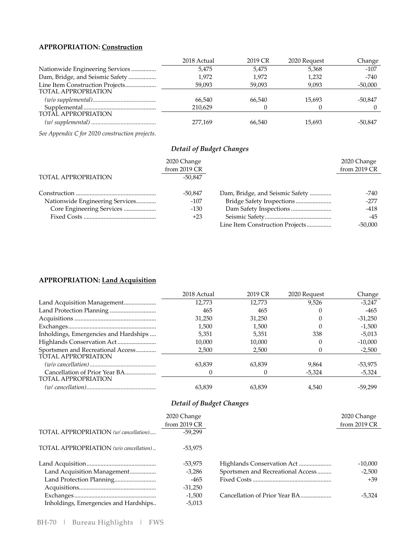#### **APPROPRIATION: Construction**

|                                 | 2018 Actual | 2019 CR | 2020 Request | Change    |
|---------------------------------|-------------|---------|--------------|-----------|
| Nationwide Engineering Services | 5.475       | 5.475   | 5,368        | $-107$    |
| Dam, Bridge, and Seismic Safety | 1.972       | 1.972   | 1,232        | $-740$    |
| Line Item Construction Projects | 59,093      | 59,093  | 9,093        | $-50,000$ |
| <b>TOTAL APPROPRIATION</b>      |             |         |              |           |
|                                 | 66.540      | 66.540  | 15.693       | -50,847   |
|                                 | 210.629     |         |              |           |
| <b>TOTAL APPROPRIATION</b>      |             |         |              |           |
|                                 | 277.169     | 66.540  | 15.693       | -50.847   |

*See Appendix C for 2020 construction projects.*

#### *Detail of Budget Changes*

|                                 | 2020 Change  |                                 | 2020 Change  |
|---------------------------------|--------------|---------------------------------|--------------|
|                                 | from 2019 CR |                                 | from 2019 CR |
| TOTAL APPROPRIATION             | $-50.847$    |                                 |              |
|                                 | -50,847      | Dam, Bridge, and Seismic Safety | -740         |
| Nationwide Engineering Services | $-107$       | Bridge Safety Inspections       | $-277$       |
| Core Engineering Services       | $-130$       |                                 | $-418$       |
|                                 | $+23$        |                                 | -45          |
|                                 |              | Line Item Construction Projects | $-50.000$    |

#### **APPROPRIATION: Land Acquisition**

|                                       | 2018 Actual | 2019 CR      | 2020 Request | Change    |
|---------------------------------------|-------------|--------------|--------------|-----------|
| Land Acquisition Management           | 12.773      | 12,773       | 9,526        | $-3,247$  |
|                                       | 465         | 465          |              | $-465$    |
|                                       | 31,250      | 31.250       |              | $-31,250$ |
|                                       | 1.500       | 1.500        |              | $-1,500$  |
| Inholdings, Emergencies and Hardships | 5,351       | 5,351        | 338          | $-5,013$  |
|                                       | 10.000      | 10.000       |              | $-10,000$ |
| Sportsmen and Recreational Access     | 2.500       | 2.500        |              | $-2,500$  |
| TOTAL APPROPRIATION                   |             |              |              |           |
|                                       | 63,839      | 63,839       | 9.864        | -53,975   |
|                                       |             | $\mathbf{0}$ | $-5,324$     | $-5,324$  |
| <b>TOTAL APPROPRIATION</b>            |             |              |              |           |
|                                       | 63.839      | 63.839       | 4.540        | -59.299   |

|                                        | 2020 Change<br>from 2019 CR |                                   | 2020 Change<br>from 2019 CR |
|----------------------------------------|-----------------------------|-----------------------------------|-----------------------------|
| TOTAL APPROPRIATION (w/ cancellation)  | $-59.299$                   |                                   |                             |
| TOTAL APPROPRIATION (w/o cancellation) | -53.975                     |                                   |                             |
|                                        | -53,975                     |                                   | $-10,000$                   |
| Land Acquisition Management            | $-3,286$                    | Sportsmen and Recreational Access | $-2,500$                    |
| Land Protection Planning               | $-465$                      |                                   | +39                         |
|                                        | $-31.250$                   |                                   |                             |
|                                        | $-1,500$                    | Cancellation of Prior Year BA     | $-5,324$                    |
| Inholdings, Emergencies and Hardships  | $-5,013$                    |                                   |                             |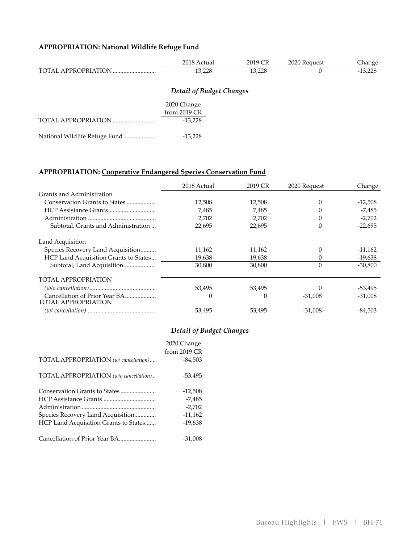## **APPROPRIATION: National Wildlife Refuge Fund**

|                            | 2018 Actual | 2019 CR | 2020 Request | Change    |
|----------------------------|-------------|---------|--------------|-----------|
| <b>TOTAL APPROPRIATION</b> | 13,228      | 13,228  |              | $-13,228$ |

|  | <b>Detail of Budget Changes</b> |
|--|---------------------------------|
|--|---------------------------------|

|                               | 2020 Change    |
|-------------------------------|----------------|
|                               | from $2019$ CR |
|                               | $-13.228$      |
| National Wildlife Refuge Fund | $-13.228$      |

#### **APPROPRIATION: Cooperative Endangered Species Conservation Fund**

|                                       | 2018 Actual | 2019 CR | 2020 Request | Change    |
|---------------------------------------|-------------|---------|--------------|-----------|
| Grants and Administration             |             |         |              |           |
| Conservation Grants to States         | 12,508      | 12,508  | 0            | $-12,508$ |
|                                       | 7,485       | 7,485   |              | $-7,485$  |
|                                       | 2,702       | 2,702   |              | $-2,702$  |
| Subtotal, Grants and Administration   | 22,695      | 22,695  | $\theta$     | $-22,695$ |
| Land Acquisition                      |             |         |              |           |
| Species Recovery Land Acquisition     | 11,162      | 11,162  |              | $-11,162$ |
| HCP Land Acquisition Grants to States | 19,638      | 19,638  |              | $-19,638$ |
| Subtotal, Land Acquisition            | 30,800      | 30,800  | $\Omega$     | $-30,800$ |
| <b>TOTAL APPROPRIATION</b>            |             |         |              |           |
|                                       | 53,495      | 53,495  |              | -53,495   |
| <b>TOTAL APPROPRIATION</b>            | 0           | 0       | $-31,008$    | $-31,008$ |
|                                       | 53.495      | 53.495  | -31.008      | -84.503   |

|                                        | 2020 Change  |
|----------------------------------------|--------------|
|                                        | from 2019 CR |
| TOTAL APPROPRIATION (w/ cancellation)  | $-84,503$    |
| TOTAL APPROPRIATION (w/o cancellation) | -53,495      |
|                                        | $-12,508$    |
|                                        | $-7,485$     |
|                                        | $-2,702$     |
| Species Recovery Land Acquisition      | $-11,162$    |
| HCP Land Acquisition Grants to States  | $-19,638$    |
|                                        | $-31,008$    |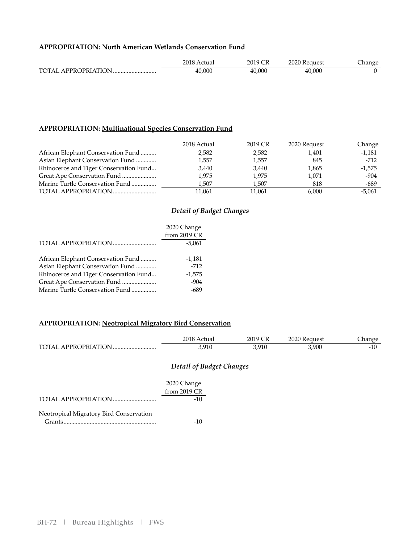#### **APPROPRIATION: North American Wetlands Conservation Fund**

|                                | 2018<br>ctuai<br>_ _ _ _ | $\sqrt{r}$<br>201 Q<br>∠∪ ′<br>$\sim$ $\sim$ | 2020<br>Keauest<br>____ | Ë<br>hange<br>$ -$ |
|--------------------------------|--------------------------|----------------------------------------------|-------------------------|--------------------|
| <b>TOTAI</b><br>A PPROPRIATION | 40,000                   | 40,000                                       | 40,000                  |                    |

#### **APPROPRIATION: Multinational Species Conservation Fund**

|                                        | 2018 Actual | 2019 CR | 2020 Request | Change   |
|----------------------------------------|-------------|---------|--------------|----------|
| African Elephant Conservation Fund     | 2.582       | 2,582   | 1.401        | $-1,181$ |
| Asian Elephant Conservation Fund       | 1,557       | 1,557   | 845          | $-712$   |
| Rhinoceros and Tiger Conservation Fund | 3,440       | 3,440   | 1,865        | $-1,575$ |
| Great Ape Conservation Fund            | 1,975       | 1,975   | 1,071        | $-904$   |
| Marine Turtle Conservation Fund        | 1.507       | 1.507   | 818          | -689     |
|                                        | 11,061      | 11,061  | 6,000        | $-5,061$ |

#### *Detail of Budget Changes*

|                                        | 2020 Change  |
|----------------------------------------|--------------|
|                                        | from 2019 CR |
|                                        | $-5.061$     |
|                                        |              |
| African Elephant Conservation Fund     | $-1,181$     |
| Asian Elephant Conservation Fund       | $-712$       |
| Rhinoceros and Tiger Conservation Fund | $-1,575$     |
| Great Ape Conservation Fund            | $-904$       |
| Marine Turtle Conservation Fund        | -689         |
|                                        |              |

#### **APPROPRIATION: Neotropical Migratory Bird Conservation**

|                         | 2018<br>ctual | 2019' | 2020 Request | :hange |
|-------------------------|---------------|-------|--------------|--------|
| TOTAL.<br>APPROPRIATION | 3,910         | 3,910 | 3,900        | $-10$  |

|                                         | 2020 Change    |
|-----------------------------------------|----------------|
|                                         | from $2019$ CR |
|                                         | $-10$          |
| Neotropical Migratory Bird Conservation |                |